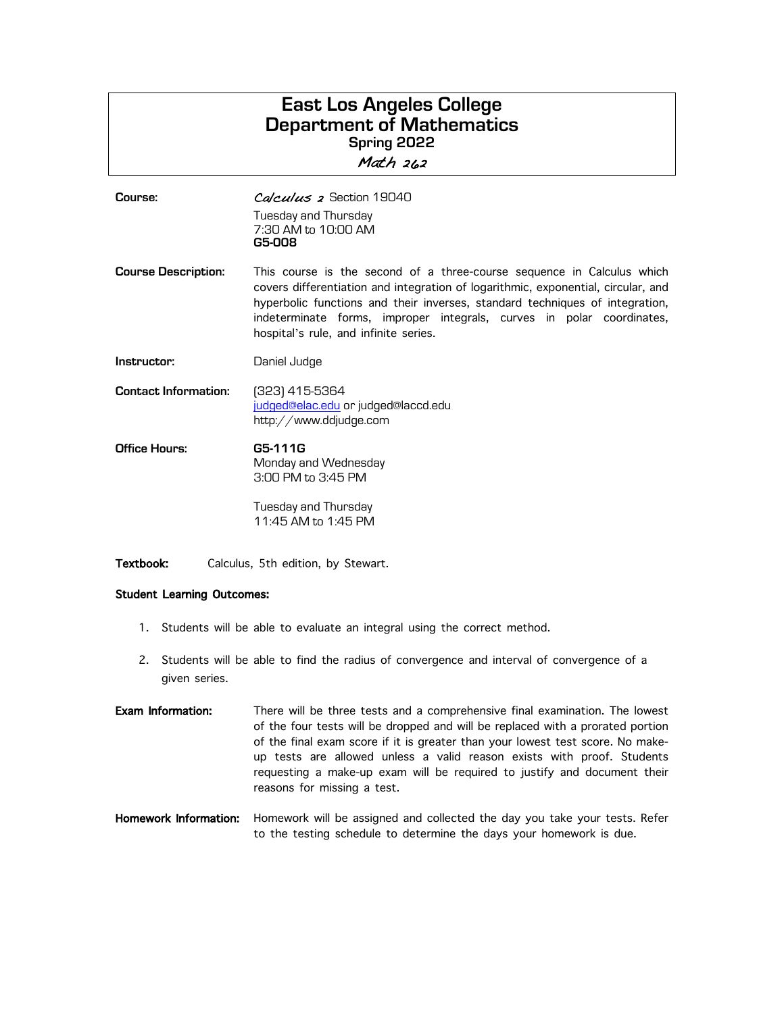## **East Los Angeles College Department of Mathematics Spring 2022** Math 262

| Course:                     | Calculus 2 Section 19040<br>Tuesday and Thursday<br>7:30 AM to 10:00 AM<br>G5-008                                                                                                                                                                                                                                                                             |
|-----------------------------|---------------------------------------------------------------------------------------------------------------------------------------------------------------------------------------------------------------------------------------------------------------------------------------------------------------------------------------------------------------|
| <b>Course Description:</b>  | This course is the second of a three-course sequence in Calculus which<br>covers differentiation and integration of logarithmic, exponential, circular, and<br>hyperbolic functions and their inverses, standard techniques of integration,<br>indeterminate forms, improper integrals, curves in polar coordinates,<br>hospital's rule, and infinite series. |
| Instructor:                 | Daniel Judge                                                                                                                                                                                                                                                                                                                                                  |
| <b>Contact Information:</b> | (323) 415-5364<br>judged@elac.edu or judged@laccd.edu<br>http://www.ddjudge.com                                                                                                                                                                                                                                                                               |
| Office Hours:               | G5-111G<br>Monday and Wednesday<br>3:00 PM to 3:45 PM                                                                                                                                                                                                                                                                                                         |
|                             | Tuesday and Thursday<br>11:45 AM to 1:45 PM                                                                                                                                                                                                                                                                                                                   |

Textbook: Calculus, 5th edition, by Stewart.

## Student Learning Outcomes:

- 1. Students will be able to evaluate an integral using the correct method.
- 2. Students will be able to find the radius of convergence and interval of convergence of a given series.
- Exam Information: There will be three tests and a comprehensive final examination. The lowest of the four tests will be dropped and will be replaced with a prorated portion of the final exam score if it is greater than your lowest test score. No makeup tests are allowed unless a valid reason exists with proof. Students requesting a make-up exam will be required to justify and document their reasons for missing a test.<br> **Homework Information:** Homework will be assigned
- Homework will be assigned and collected the day you take your tests. Refer to the testing schedule to determine the days your homework is due.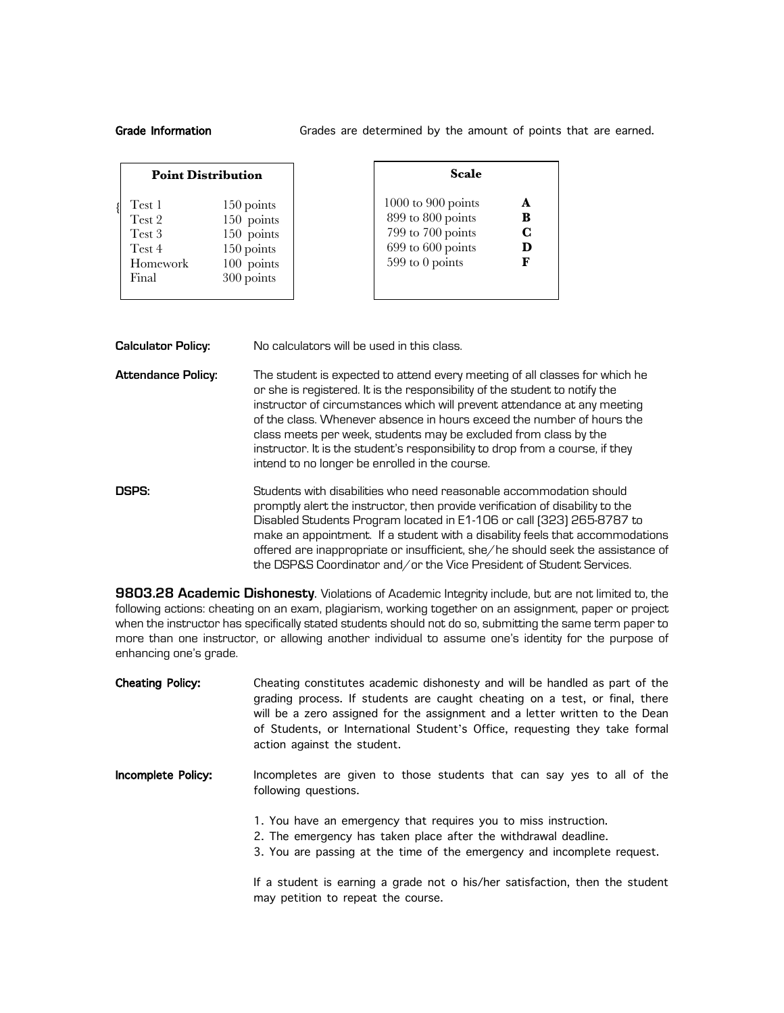Grade Information **Grades are determined by the amount of points that are earned.** 

|          | <b>Point Distribution</b> |
|----------|---------------------------|
| Test 1   | 150 points                |
| Test 2   | 150 points                |
| Test 3   | 150 points                |
| Test 4   | 150 points                |
| Homework | 100 points                |
| Final    | 300 points                |

| Scale              |   |
|--------------------|---|
| 1000 to 900 points |   |
| 899 to 800 points  | B |
| 799 to 700 points  | C |
| 699 to 600 points  | D |
| 599 to 0 points    | F |

**Calculator Policy:** No calculators will be used in this class.

- **Attendance Policy:** The student is expected to attend every meeting of all classes for which he or she is registered. It is the responsibility of the student to notify the instructor of circumstances which will prevent attendance at any meeting of the class. Whenever absence in hours exceed the number of hours the class meets per week, students may be excluded from class by the instructor. It is the student's responsibility to drop from a course, if they intend to no longer be enrolled in the course.
- **DSPS:** Students with disabilities who need reasonable accommodation should promptly alert the instructor, then provide verification of disability to the Disabled Students Program located in E1-106 or call (323) 265-8787 to make an appointment. If a student with a disability feels that accommodations offered are inappropriate or insufficient, she/he should seek the assistance of the DSP&S Coordinator and/or the Vice President of Student Services.

**9803.28 Academic Dishonesty**. Violations of Academic Integrity include, but are not limited to, the following actions: cheating on an exam, plagiarism, working together on an assignment, paper or project when the instructor has specifically stated students should not do so, submitting the same term paper to more than one instructor, or allowing another individual to assume one's identity for the purpose of enhancing one's grade.

| <b>Cheating Policy:</b> | Cheating constitutes academic dishonesty and will be handled as part of the<br>grading process. If students are caught cheating on a test, or final, there<br>will be a zero assigned for the assignment and a letter written to the Dean<br>of Students, or International Student's Office, requesting they take formal<br>action against the student. |
|-------------------------|---------------------------------------------------------------------------------------------------------------------------------------------------------------------------------------------------------------------------------------------------------------------------------------------------------------------------------------------------------|
| Incomplete Policy:      | Incompletes are given to those students that can say yes to all of the<br>following questions.                                                                                                                                                                                                                                                          |
|                         | 1. You have an emergency that requires you to miss instruction.<br>2. The emergency has taken place after the withdrawal deadline.<br>3. You are passing at the time of the emergency and incomplete request.                                                                                                                                           |
|                         | If a student is earning a grade not o his/her satisfaction, then the student<br>may petition to repeat the course.                                                                                                                                                                                                                                      |